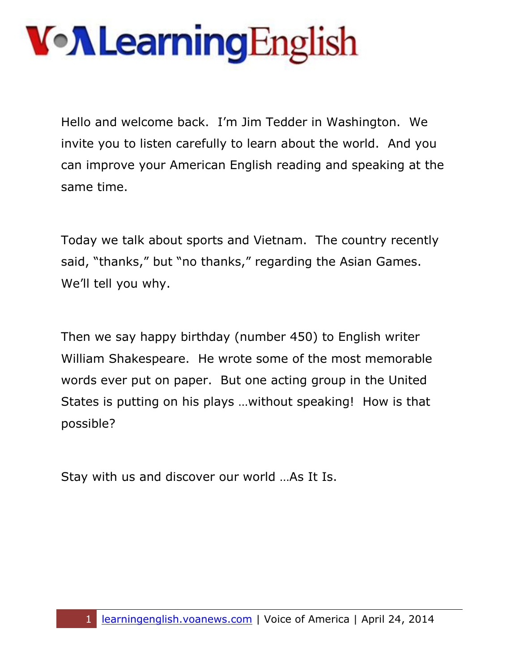Hello and welcome back. I'm Jim Tedder in Washington. We invite you to listen carefully to learn about the world. And you can improve your American English reading and speaking at the same time.

Today we talk about sports and Vietnam. The country recently said, "thanks," but "no thanks," regarding the Asian Games. We'll tell you why.

Then we say happy birthday (number 450) to English writer William Shakespeare. He wrote some of the most memorable words ever put on paper. But one acting group in the United States is putting on his plays …without speaking! How is that possible?

Stay with us and discover our world …As It Is.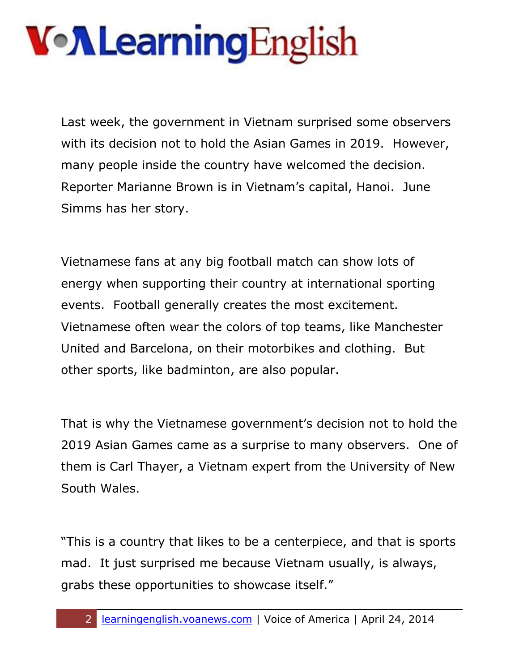Last week, the government in Vietnam surprised some observers with its decision not to hold the Asian Games in 2019. However, many people inside the country have welcomed the decision. Reporter Marianne Brown is in Vietnam's capital, Hanoi. June Simms has her story.

Vietnamese fans at any big football match can show lots of energy when supporting their country at international sporting events. Football generally creates the most excitement. Vietnamese often wear the colors of top teams, like Manchester United and Barcelona, on their motorbikes and clothing. But other sports, like badminton, are also popular.

That is why the Vietnamese government's decision not to hold the 2019 Asian Games came as a surprise to many observers. One of them is Carl Thayer, a Vietnam expert from the University of New South Wales.

"This is a country that likes to be a centerpiece, and that is sports mad. It just surprised me because Vietnam usually, is always, grabs these opportunities to showcase itself."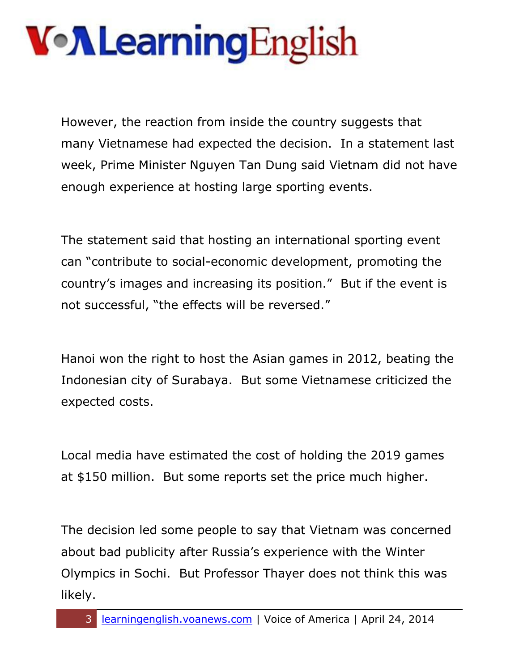However, the reaction from inside the country suggests that many Vietnamese had expected the decision. In a statement last week, Prime Minister Nguyen Tan Dung said Vietnam did not have enough experience at hosting large sporting events.

The statement said that hosting an international sporting event can "contribute to social-economic development, promoting the country's images and increasing its position." But if the event is not successful, "the effects will be reversed."

Hanoi won the right to host the Asian games in 2012, beating the Indonesian city of Surabaya. But some Vietnamese criticized the expected costs.

Local media have estimated the cost of holding the 2019 games at \$150 million. But some reports set the price much higher.

The decision led some people to say that Vietnam was concerned about bad publicity after Russia's experience with the Winter Olympics in Sochi. But Professor Thayer does not think this was likely.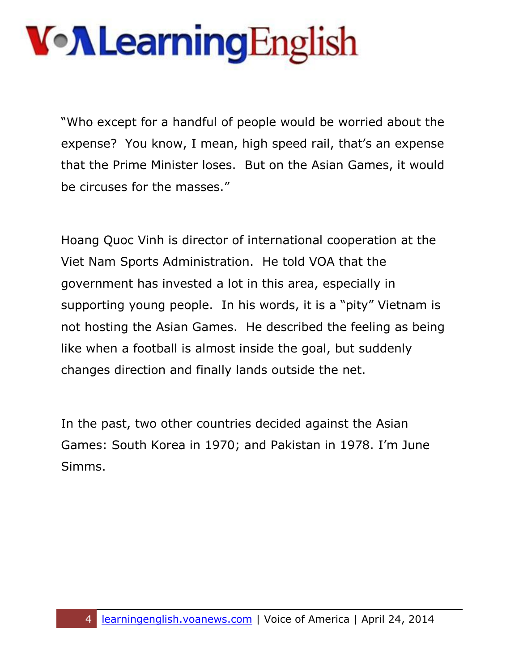"Who except for a handful of people would be worried about the expense? You know, I mean, high speed rail, that's an expense that the Prime Minister loses. But on the Asian Games, it would be circuses for the masses."

Hoang Quoc Vinh is director of international cooperation at the Viet Nam Sports Administration. He told VOA that the government has invested a lot in this area, especially in supporting young people. In his words, it is a "pity" Vietnam is not hosting the Asian Games. He described the feeling as being like when a football is almost inside the goal, but suddenly changes direction and finally lands outside the net.

In the past, two other countries decided against the Asian Games: South Korea in 1970; and Pakistan in 1978. I'm June Simms.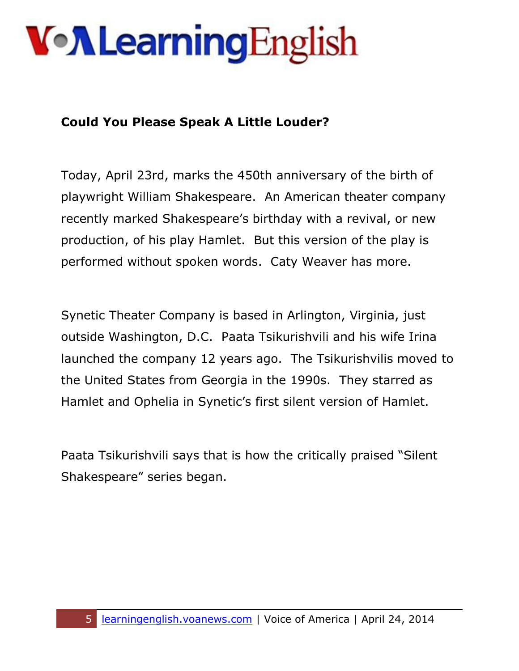#### **Could You Please Speak A Little Louder?**

Today, April 23rd, marks the 450th anniversary of the birth of playwright William Shakespeare. An American theater company recently marked Shakespeare's birthday with a revival, or new production, of his play Hamlet. But this version of the play is performed without spoken words. Caty Weaver has more.

Synetic Theater Company is based in Arlington, Virginia, just outside Washington, D.C. Paata Tsikurishvili and his wife Irina launched the company 12 years ago. The Tsikurishvilis moved to the United States from Georgia in the 1990s. They starred as Hamlet and Ophelia in Synetic's first silent version of Hamlet.

Paata Tsikurishvili says that is how the critically praised "Silent Shakespeare" series began.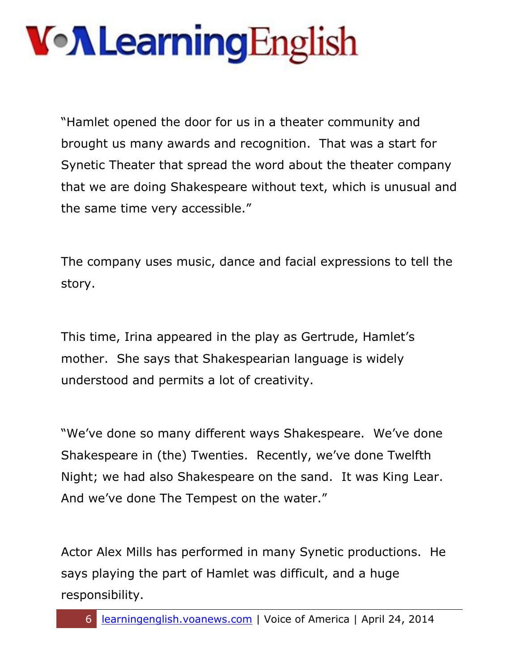"Hamlet opened the door for us in a theater community and brought us many awards and recognition. That was a start for Synetic Theater that spread the word about the theater company that we are doing Shakespeare without text, which is unusual and the same time very accessible."

The company uses music, dance and facial expressions to tell the story.

This time, Irina appeared in the play as Gertrude, Hamlet's mother. She says that Shakespearian language is widely understood and permits a lot of creativity.

"We've done so many different ways Shakespeare. We've done Shakespeare in (the) Twenties. Recently, we've done Twelfth Night; we had also Shakespeare on the sand. It was King Lear. And we've done The Tempest on the water."

Actor Alex Mills has performed in many Synetic productions. He says playing the part of Hamlet was difficult, and a huge responsibility.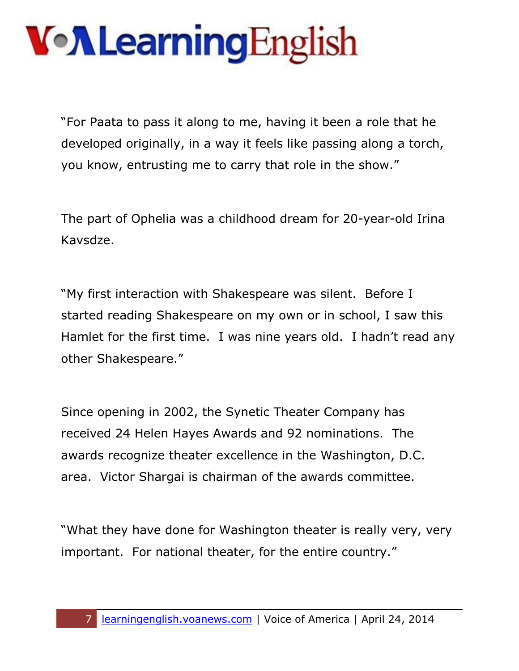"For Paata to pass it along to me, having it been a role that he developed originally, in a way it feels like passing along a torch, you know, entrusting me to carry that role in the show."

The part of Ophelia was a childhood dream for 20-year-old Irina Kavsdze.

"My first interaction with Shakespeare was silent. Before I started reading Shakespeare on my own or in school, I saw this Hamlet for the first time. I was nine years old. I hadn't read any other Shakespeare."

Since opening in 2002, the Synetic Theater Company has received 24 Helen Hayes Awards and 92 nominations. The awards recognize theater excellence in the Washington, D.C. area. Victor Shargai is chairman of the awards committee.

"What they have done for Washington theater is really very, very important. For national theater, for the entire country."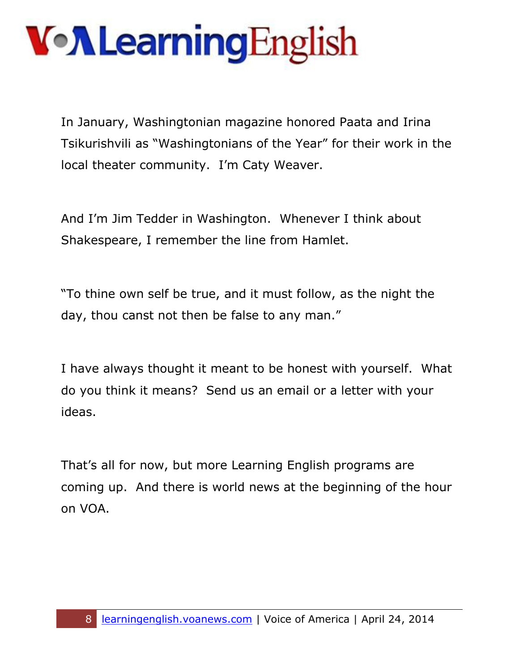In January, Washingtonian magazine honored Paata and Irina Tsikurishvili as "Washingtonians of the Year" for their work in the local theater community. I'm Caty Weaver.

And I'm Jim Tedder in Washington. Whenever I think about Shakespeare, I remember the line from Hamlet.

"To thine own self be true, and it must follow, as the night the day, thou canst not then be false to any man."

I have always thought it meant to be honest with yourself. What do you think it means? Send us an email or a letter with your ideas.

That's all for now, but more Learning English programs are coming up. And there is world news at the beginning of the hour on VOA.